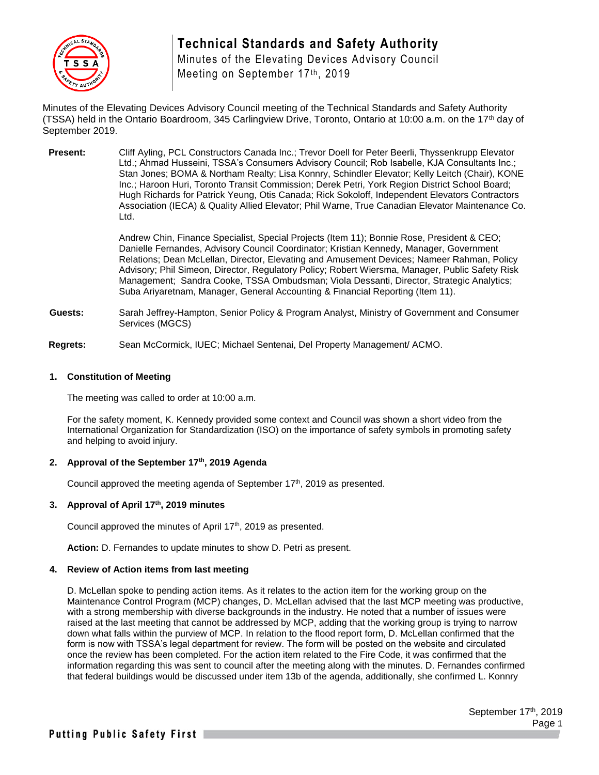

Minutes of the Elevating Devices Advisory Council Meeting on September 17th, 2019

Minutes of the Elevating Devices Advisory Council meeting of the Technical Standards and Safety Authority (TSSA) held in the Ontario Boardroom, 345 Carlingview Drive, Toronto, Ontario at 10:00 a.m. on the 17th day of September 2019.

**Present:** Cliff Ayling, PCL Constructors Canada Inc.; Trevor Doell for Peter Beerli, Thyssenkrupp Elevator Ltd.; Ahmad Husseini, TSSA's Consumers Advisory Council; Rob Isabelle, KJA Consultants Inc.; Stan Jones; BOMA & Northam Realty; Lisa Konnry, Schindler Elevator; Kelly Leitch (Chair), KONE Inc.; Haroon Huri, Toronto Transit Commission; Derek Petri, York Region District School Board; Hugh Richards for Patrick Yeung, Otis Canada; Rick Sokoloff, Independent Elevators Contractors Association (IECA) & Quality Allied Elevator; Phil Warne, True Canadian Elevator Maintenance Co. Ltd.

> Andrew Chin, Finance Specialist, Special Projects (Item 11); Bonnie Rose, President & CEO; Danielle Fernandes, Advisory Council Coordinator; Kristian Kennedy, Manager, Government Relations; Dean McLellan, Director, Elevating and Amusement Devices; Nameer Rahman, Policy Advisory; Phil Simeon, Director, Regulatory Policy; Robert Wiersma, Manager, Public Safety Risk Management; Sandra Cooke, TSSA Ombudsman; Viola Dessanti, Director, Strategic Analytics; Suba Ariyaretnam, Manager, General Accounting & Financial Reporting (Item 11).

- **Guests:** Sarah Jeffrey-Hampton, Senior Policy & Program Analyst, Ministry of Government and Consumer Services (MGCS)
- **Regrets:** Sean McCormick, IUEC; Michael Sentenai, Del Property Management/ ACMO.

## **1. Constitution of Meeting**

The meeting was called to order at 10:00 a.m.

For the safety moment, K. Kennedy provided some context and Council was shown a short video from the International Organization for Standardization (ISO) on the importance of safety symbols in promoting safety and helping to avoid injury.

## **2. Approval of the September 17th, 2019 Agenda**

Council approved the meeting agenda of September 17<sup>th</sup>, 2019 as presented.

# **3. Approval of April 17th, 2019 minutes**

Council approved the minutes of April 17<sup>th</sup>, 2019 as presented.

**Action:** D. Fernandes to update minutes to show D. Petri as present.

## **4. Review of Action items from last meeting**

D. McLellan spoke to pending action items. As it relates to the action item for the working group on the Maintenance Control Program (MCP) changes, D. McLellan advised that the last MCP meeting was productive, with a strong membership with diverse backgrounds in the industry. He noted that a number of issues were raised at the last meeting that cannot be addressed by MCP, adding that the working group is trying to narrow down what falls within the purview of MCP. In relation to the flood report form, D. McLellan confirmed that the form is now with TSSA's legal department for review. The form will be posted on the website and circulated once the review has been completed. For the action item related to the Fire Code, it was confirmed that the information regarding this was sent to council after the meeting along with the minutes. D. Fernandes confirmed that federal buildings would be discussed under item 13b of the agenda, additionally, she confirmed L. Konnry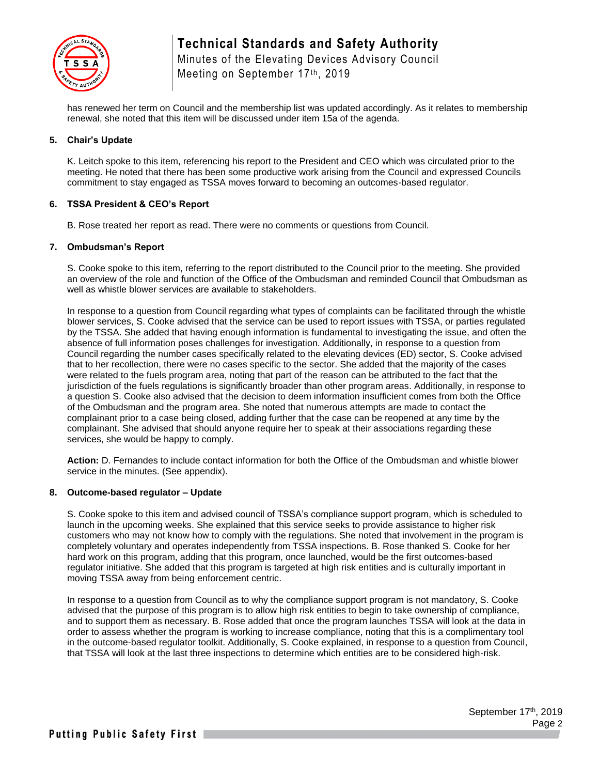

Minutes of the Elevating Devices Advisory Council Meeting on September 17th, 2019

has renewed her term on Council and the membership list was updated accordingly. As it relates to membership renewal, she noted that this item will be discussed under item 15a of the agenda.

## **5. Chair's Update**

K. Leitch spoke to this item, referencing his report to the President and CEO which was circulated prior to the meeting. He noted that there has been some productive work arising from the Council and expressed Councils commitment to stay engaged as TSSA moves forward to becoming an outcomes-based regulator.

#### **6. TSSA President & CEO's Report**

B. Rose treated her report as read. There were no comments or questions from Council.

#### **7. Ombudsman's Report**

S. Cooke spoke to this item, referring to the report distributed to the Council prior to the meeting. She provided an overview of the role and function of the Office of the Ombudsman and reminded Council that Ombudsman as well as whistle blower services are available to stakeholders.

In response to a question from Council regarding what types of complaints can be facilitated through the whistle blower services, S. Cooke advised that the service can be used to report issues with TSSA, or parties regulated by the TSSA. She added that having enough information is fundamental to investigating the issue, and often the absence of full information poses challenges for investigation. Additionally, in response to a question from Council regarding the number cases specifically related to the elevating devices (ED) sector, S. Cooke advised that to her recollection, there were no cases specific to the sector. She added that the majority of the cases were related to the fuels program area, noting that part of the reason can be attributed to the fact that the jurisdiction of the fuels regulations is significantly broader than other program areas. Additionally, in response to a question S. Cooke also advised that the decision to deem information insufficient comes from both the Office of the Ombudsman and the program area. She noted that numerous attempts are made to contact the complainant prior to a case being closed, adding further that the case can be reopened at any time by the complainant. She advised that should anyone require her to speak at their associations regarding these services, she would be happy to comply.

**Action:** D. Fernandes to include contact information for both the Office of the Ombudsman and whistle blower service in the minutes. (See appendix).

#### **8. Outcome-based regulator – Update**

S. Cooke spoke to this item and advised council of TSSA's compliance support program, which is scheduled to launch in the upcoming weeks. She explained that this service seeks to provide assistance to higher risk customers who may not know how to comply with the regulations. She noted that involvement in the program is completely voluntary and operates independently from TSSA inspections. B. Rose thanked S. Cooke for her hard work on this program, adding that this program, once launched, would be the first outcomes-based regulator initiative. She added that this program is targeted at high risk entities and is culturally important in moving TSSA away from being enforcement centric.

In response to a question from Council as to why the compliance support program is not mandatory, S. Cooke advised that the purpose of this program is to allow high risk entities to begin to take ownership of compliance, and to support them as necessary. B. Rose added that once the program launches TSSA will look at the data in order to assess whether the program is working to increase compliance, noting that this is a complimentary tool in the outcome-based regulator toolkit. Additionally, S. Cooke explained, in response to a question from Council, that TSSA will look at the last three inspections to determine which entities are to be considered high-risk.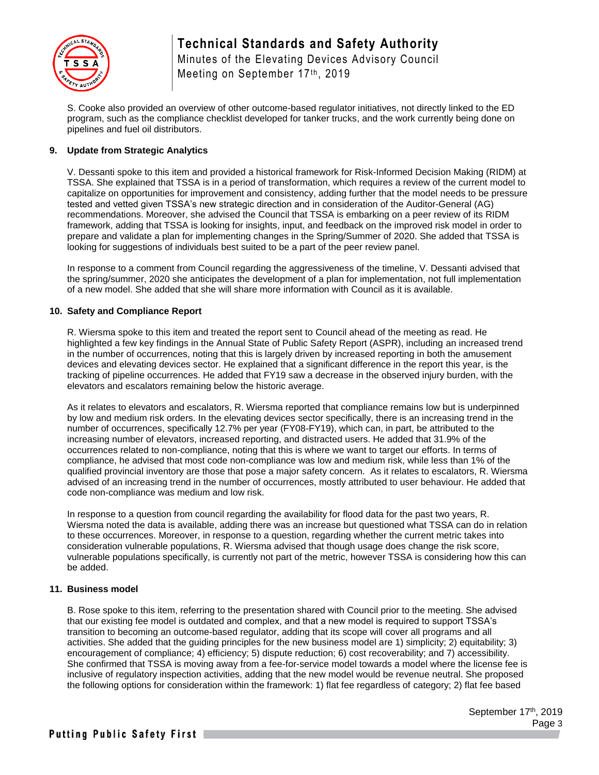

Minutes of the Elevating Devices Advisory Council Meeting on September 17th, 2019

S. Cooke also provided an overview of other outcome-based regulator initiatives, not directly linked to the ED program, such as the compliance checklist developed for tanker trucks, and the work currently being done on pipelines and fuel oil distributors.

# **9. Update from Strategic Analytics**

V. Dessanti spoke to this item and provided a historical framework for Risk-Informed Decision Making (RIDM) at TSSA. She explained that TSSA is in a period of transformation, which requires a review of the current model to capitalize on opportunities for improvement and consistency, adding further that the model needs to be pressure tested and vetted given TSSA's new strategic direction and in consideration of the Auditor-General (AG) recommendations. Moreover, she advised the Council that TSSA is embarking on a peer review of its RIDM framework, adding that TSSA is looking for insights, input, and feedback on the improved risk model in order to prepare and validate a plan for implementing changes in the Spring/Summer of 2020. She added that TSSA is looking for suggestions of individuals best suited to be a part of the peer review panel.

In response to a comment from Council regarding the aggressiveness of the timeline, V. Dessanti advised that the spring/summer, 2020 she anticipates the development of a plan for implementation, not full implementation of a new model. She added that she will share more information with Council as it is available.

## **10. Safety and Compliance Report**

R. Wiersma spoke to this item and treated the report sent to Council ahead of the meeting as read. He highlighted a few key findings in the Annual State of Public Safety Report (ASPR), including an increased trend in the number of occurrences, noting that this is largely driven by increased reporting in both the amusement devices and elevating devices sector. He explained that a significant difference in the report this year, is the tracking of pipeline occurrences. He added that FY19 saw a decrease in the observed injury burden, with the elevators and escalators remaining below the historic average.

As it relates to elevators and escalators, R. Wiersma reported that compliance remains low but is underpinned by low and medium risk orders. In the elevating devices sector specifically, there is an increasing trend in the number of occurrences, specifically 12.7% per year (FY08-FY19), which can, in part, be attributed to the increasing number of elevators, increased reporting, and distracted users. He added that 31.9% of the occurrences related to non-compliance, noting that this is where we want to target our efforts. In terms of compliance, he advised that most code non-compliance was low and medium risk, while less than 1% of the qualified provincial inventory are those that pose a major safety concern. As it relates to escalators, R. Wiersma advised of an increasing trend in the number of occurrences, mostly attributed to user behaviour. He added that code non-compliance was medium and low risk.

In response to a question from council regarding the availability for flood data for the past two years, R. Wiersma noted the data is available, adding there was an increase but questioned what TSSA can do in relation to these occurrences. Moreover, in response to a question, regarding whether the current metric takes into consideration vulnerable populations, R. Wiersma advised that though usage does change the risk score, vulnerable populations specifically, is currently not part of the metric, however TSSA is considering how this can be added.

## **11. Business model**

B. Rose spoke to this item, referring to the presentation shared with Council prior to the meeting. She advised that our existing fee model is outdated and complex, and that a new model is required to support TSSA's transition to becoming an outcome-based regulator, adding that its scope will cover all programs and all activities. She added that the guiding principles for the new business model are 1) simplicity; 2) equitability; 3) encouragement of compliance; 4) efficiency; 5) dispute reduction; 6) cost recoverability; and 7) accessibility. She confirmed that TSSA is moving away from a fee-for-service model towards a model where the license fee is inclusive of regulatory inspection activities, adding that the new model would be revenue neutral. She proposed the following options for consideration within the framework: 1) flat fee regardless of category; 2) flat fee based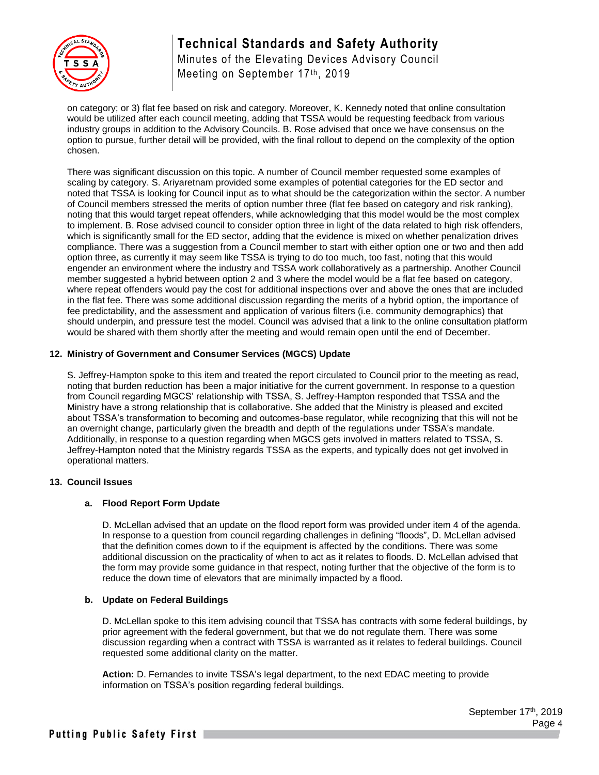

Minutes of the Elevating Devices Advisory Council Meeting on September 17th, 2019

on category; or 3) flat fee based on risk and category. Moreover, K. Kennedy noted that online consultation would be utilized after each council meeting, adding that TSSA would be requesting feedback from various industry groups in addition to the Advisory Councils. B. Rose advised that once we have consensus on the option to pursue, further detail will be provided, with the final rollout to depend on the complexity of the option chosen.

There was significant discussion on this topic. A number of Council member requested some examples of scaling by category. S. Ariyaretnam provided some examples of potential categories for the ED sector and noted that TSSA is looking for Council input as to what should be the categorization within the sector. A number of Council members stressed the merits of option number three (flat fee based on category and risk ranking), noting that this would target repeat offenders, while acknowledging that this model would be the most complex to implement. B. Rose advised council to consider option three in light of the data related to high risk offenders, which is significantly small for the ED sector, adding that the evidence is mixed on whether penalization drives compliance. There was a suggestion from a Council member to start with either option one or two and then add option three, as currently it may seem like TSSA is trying to do too much, too fast, noting that this would engender an environment where the industry and TSSA work collaboratively as a partnership. Another Council member suggested a hybrid between option 2 and 3 where the model would be a flat fee based on category, where repeat offenders would pay the cost for additional inspections over and above the ones that are included in the flat fee. There was some additional discussion regarding the merits of a hybrid option, the importance of fee predictability, and the assessment and application of various filters (i.e. community demographics) that should underpin, and pressure test the model. Council was advised that a link to the online consultation platform would be shared with them shortly after the meeting and would remain open until the end of December.

# **12. Ministry of Government and Consumer Services (MGCS) Update**

S. Jeffrey-Hampton spoke to this item and treated the report circulated to Council prior to the meeting as read, noting that burden reduction has been a major initiative for the current government. In response to a question from Council regarding MGCS' relationship with TSSA, S. Jeffrey-Hampton responded that TSSA and the Ministry have a strong relationship that is collaborative. She added that the Ministry is pleased and excited about TSSA's transformation to becoming and outcomes-base regulator, while recognizing that this will not be an overnight change, particularly given the breadth and depth of the regulations under TSSA's mandate. Additionally, in response to a question regarding when MGCS gets involved in matters related to TSSA, S. Jeffrey-Hampton noted that the Ministry regards TSSA as the experts, and typically does not get involved in operational matters.

## **13. Council Issues**

# **a. Flood Report Form Update**

D. McLellan advised that an update on the flood report form was provided under item 4 of the agenda. In response to a question from council regarding challenges in defining "floods", D. McLellan advised that the definition comes down to if the equipment is affected by the conditions. There was some additional discussion on the practicality of when to act as it relates to floods. D. McLellan advised that the form may provide some guidance in that respect, noting further that the objective of the form is to reduce the down time of elevators that are minimally impacted by a flood.

## **b. Update on Federal Buildings**

D. McLellan spoke to this item advising council that TSSA has contracts with some federal buildings, by prior agreement with the federal government, but that we do not regulate them. There was some discussion regarding when a contract with TSSA is warranted as it relates to federal buildings. Council requested some additional clarity on the matter.

**Action:** D. Fernandes to invite TSSA's legal department, to the next EDAC meeting to provide information on TSSA's position regarding federal buildings.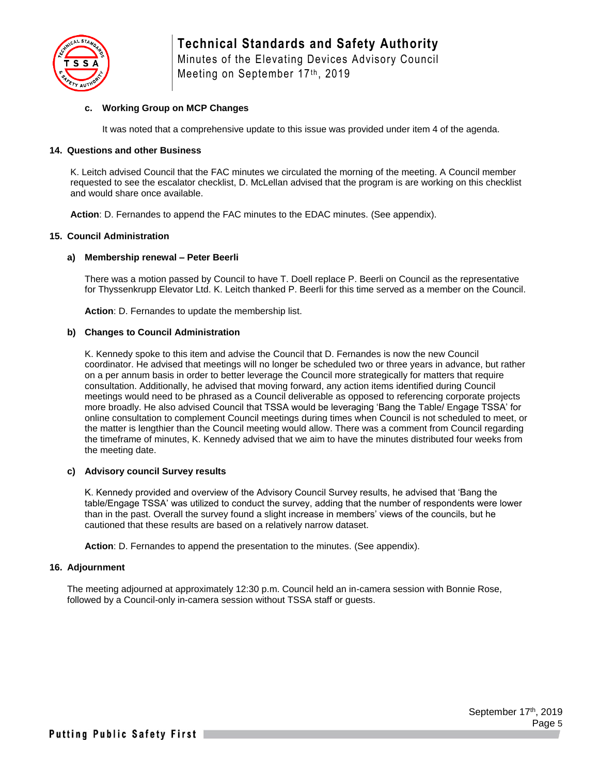

## **c. Working Group on MCP Changes**

It was noted that a comprehensive update to this issue was provided under item 4 of the agenda.

#### **14. Questions and other Business**

K. Leitch advised Council that the FAC minutes we circulated the morning of the meeting. A Council member requested to see the escalator checklist, D. McLellan advised that the program is are working on this checklist and would share once available.

**Action**: D. Fernandes to append the FAC minutes to the EDAC minutes. (See appendix).

#### **15. Council Administration**

#### **a) Membership renewal – Peter Beerli**

There was a motion passed by Council to have T. Doell replace P. Beerli on Council as the representative for Thyssenkrupp Elevator Ltd. K. Leitch thanked P. Beerli for this time served as a member on the Council.

**Action**: D. Fernandes to update the membership list.

#### **b) Changes to Council Administration**

K. Kennedy spoke to this item and advise the Council that D. Fernandes is now the new Council coordinator. He advised that meetings will no longer be scheduled two or three years in advance, but rather on a per annum basis in order to better leverage the Council more strategically for matters that require consultation. Additionally, he advised that moving forward, any action items identified during Council meetings would need to be phrased as a Council deliverable as opposed to referencing corporate projects more broadly. He also advised Council that TSSA would be leveraging 'Bang the Table/ Engage TSSA' for online consultation to complement Council meetings during times when Council is not scheduled to meet, or the matter is lengthier than the Council meeting would allow. There was a comment from Council regarding the timeframe of minutes, K. Kennedy advised that we aim to have the minutes distributed four weeks from the meeting date.

#### **c) Advisory council Survey results**

K. Kennedy provided and overview of the Advisory Council Survey results, he advised that 'Bang the table/Engage TSSA' was utilized to conduct the survey, adding that the number of respondents were lower than in the past. Overall the survey found a slight increase in members' views of the councils, but he cautioned that these results are based on a relatively narrow dataset.

**Action**: D. Fernandes to append the presentation to the minutes. (See appendix).

#### **16. Adjournment**

The meeting adjourned at approximately 12:30 p.m. Council held an in-camera session with Bonnie Rose, followed by a Council-only in-camera session without TSSA staff or guests.